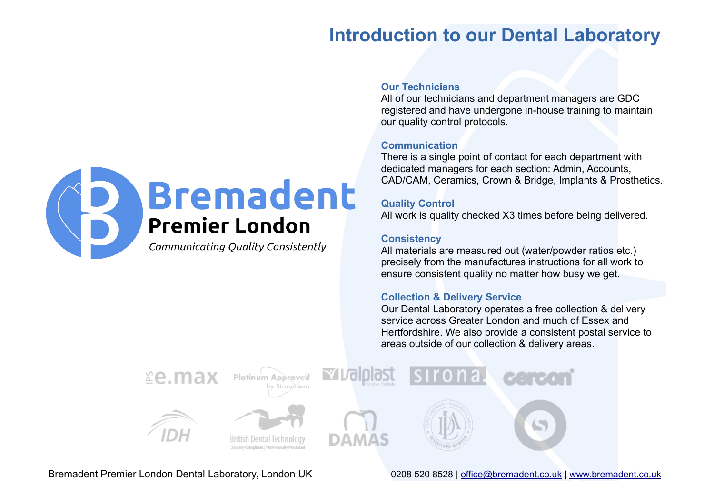# **Introduction to our Dental Laboratory**



#### **Our Technicians**

All of our technicians and department managers are GDC registered and have undergone in-house training to maintain our quality control protocols.

#### **Communication**

There is a single point of contact for each department with dedicated managers for each section: Admin, Accounts, CAD/CAM, Ceramics, Crown & Bridge, Implants & Prosthetics.

#### **Quality Control**

All work is quality checked X3 times before being delivered.

#### **Consistency**

All materials are measured out (water/powder ratios etc.) precisely from the manufactures instructions for all work to ensure consistent quality no matter how busy we get.

#### **Collection & Delivery Service**

Our Dental Laboratory operates a free collection & delivery service across Greater London and much of Essex and Hertfordshire. We also provide a consistent postal service to areas outside of our collection & delivery areas.

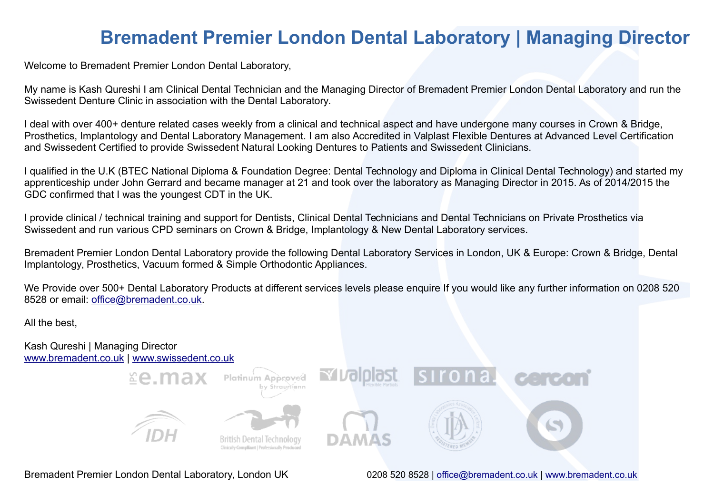### **Bremadent Premier London Dental Laboratory | Managing Director**

Welcome to Bremadent Premier London Dental Laboratory,

My name is Kash Qureshi I am Clinical Dental Technician and the Managing Director of Bremadent Premier London Dental Laboratory and run the Swissedent Denture Clinic in association with the Dental Laboratory.

I deal with over 400+ denture related cases weekly from a clinical and technical aspect and have undergone many courses in Crown & Bridge, Prosthetics, Implantology and Dental Laboratory Management. I am also Accredited in Valplast Flexible Dentures at Advanced Level Certification and Swissedent Certified to provide Swissedent Natural Looking Dentures to Patients and Swissedent Clinicians.

I qualified in the U.K (BTEC National Diploma & Foundation Degree: Dental Technology and Diploma in Clinical Dental Technology) and started my apprenticeship under John Gerrard and became manager at 21 and took over the laboratory as Managing Director in 2015. As of 2014/2015 the GDC confirmed that I was the youngest CDT in the UK.

I provide clinical / technical training and support for Dentists, Clinical Dental Technicians and Dental Technicians on Private Prosthetics via Swissedent and run various CPD seminars on Crown & Bridge, Implantology & New Dental Laboratory services.

Bremadent Premier London Dental Laboratory provide the following Dental Laboratory Services in London, UK & Europe: Crown & Bridge, Dental Implantology, Prosthetics, Vacuum formed & Simple Orthodontic Appliances.

We Provide over 500+ Dental Laboratory Products at different services levels please enquire If you would like any further information on 0208 520 8528 or email: [office@bremadent.co.uk.](mailto:office@bremadent.co.uk)

All the best,

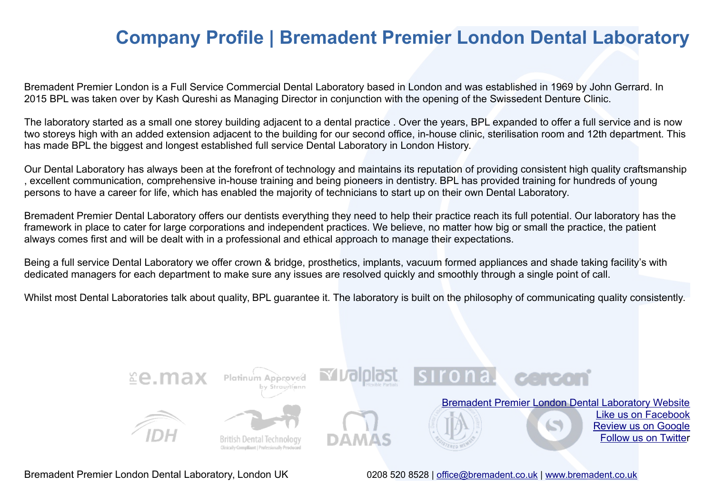### **Company Profile | Bremadent Premier London Dental Laboratory**

Bremadent Premier London is a Full Service Commercial Dental Laboratory based in London and was established in 1969 by John Gerrard. In 2015 BPL was taken over by Kash Qureshi as Managing Director in conjunction with the opening of the Swissedent Denture Clinic.

The laboratory started as a small one storey building adjacent to a dental practice . Over the years, BPL expanded to offer a full service and is now two storeys high with an added extension adjacent to the building for our second office, in-house clinic, sterilisation room and 12th department. This has made BPL the biggest and longest established full service Dental Laboratory in London History.

Our Dental Laboratory has always been at the forefront of technology and maintains its reputation of providing consistent high quality craftsmanship , excellent communication, comprehensive in-house training and being pioneers in dentistry. BPL has provided training for hundreds of young persons to have a career for life, which has enabled the majority of technicians to start up on their own Dental Laboratory.

Bremadent Premier Dental Laboratory offers our dentists everything they need to help their practice reach its full potential. Our laboratory has the framework in place to cater for large corporations and independent practices. We believe, no matter how big or small the practice, the patient always comes first and will be dealt with in a professional and ethical approach to manage their expectations.

Being a full service Dental Laboratory we offer crown & bridge, prosthetics, implants, vacuum formed appliances and shade taking facility's with dedicated managers for each department to make sure any issues are resolved quickly and smoothly through a single point of call.

Whilst most Dental Laboratories talk about quality, BPL guarantee it. The laboratory is built on the philosophy of communicating quality consistently.

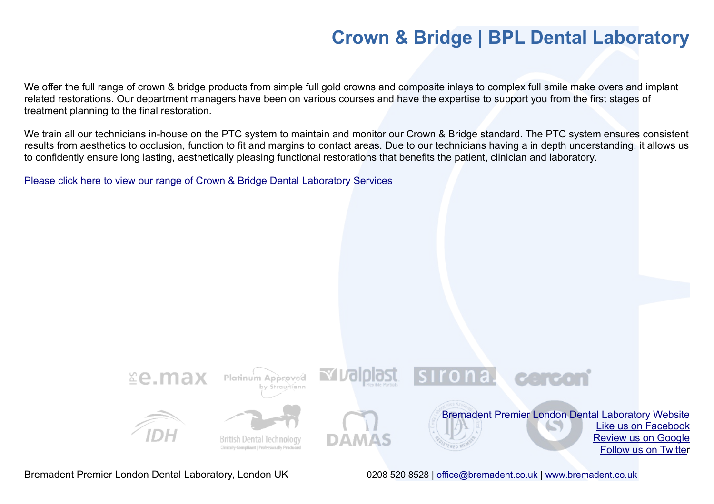# **Crown & Bridge | BPL Dental Laboratory**

We offer the full range of crown & bridge products from simple full gold crowns and composite inlays to complex full smile make overs and implant related restorations. Our department managers have been on various courses and have the expertise to support you from the first stages of treatment planning to the final restoration.

We train all our technicians in-house on the PTC system to maintain and monitor our Crown & Bridge standard. The PTC system ensures consistent results from aesthetics to occlusion, function to fit and margins to contact areas. Due to our technicians having a in depth understanding, it allows us to confidently ensure long lasting, aesthetically pleasing functional restorations that benefits the patient, clinician and laboratory.

[Please click here to view our range of Crown & Bridge Dental Laboratory Services](http://www.bremadent.co.uk/crown--bridge.html) 

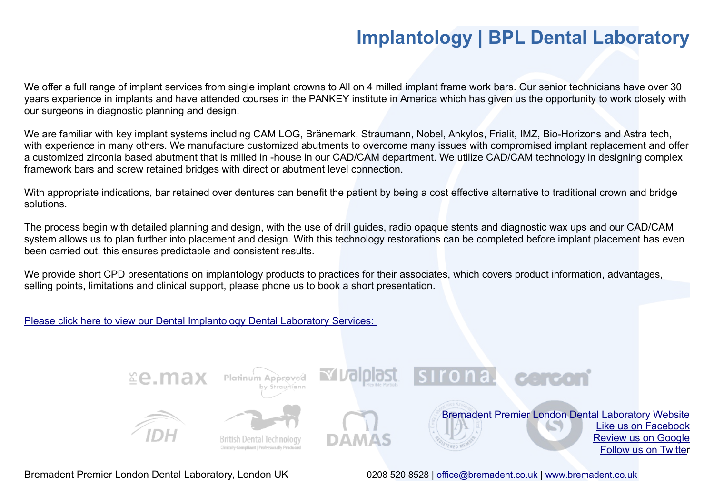# **Implantology | BPL Dental Laboratory**

We offer a full range of implant services from single implant crowns to All on 4 milled implant frame work bars. Our senior technicians have over 30 years experience in implants and have attended courses in the PANKEY institute in America which has given us the opportunity to work closely with our surgeons in diagnostic planning and design.

We are familiar with key implant systems including CAM LOG, Bränemark, Straumann, Nobel, Ankylos, Frialit, IMZ, Bio-Horizons and Astra tech, with experience in many others. We manufacture customized abutments to overcome many issues with compromised implant replacement and offer a customized zirconia based abutment that is milled in -house in our CAD/CAM department. We utilize CAD/CAM technology in designing complex framework bars and screw retained bridges with direct or abutment level connection.

With appropriate indications, bar retained over dentures can benefit the patient by being a cost effective alternative to traditional crown and bridge solutions.

The process begin with detailed planning and design, with the use of drill guides, radio opaque stents and diagnostic wax ups and our CAD/CAM system allows us to plan further into placement and design. With this technology restorations can be completed before implant placement has even been carried out, this ensures predictable and consistent results.

We provide short CPD presentations on implantology products to practices for their associates, which covers product information, advantages, selling points, limitations and clinical support, please phone us to book a short presentation.

[Please click here to view our Dental Implantology Dental Laboratory Services:](http://www.bremadent.co.uk/implantology.html) 

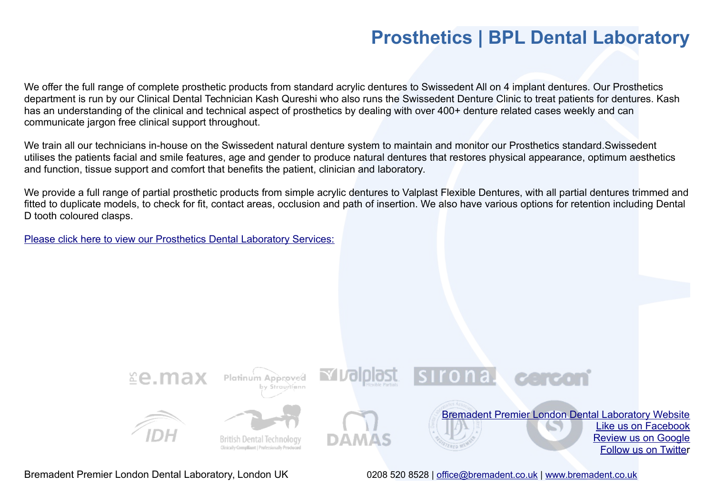### **Prosthetics | BPL Dental Laboratory**

We offer the full range of complete prosthetic products from standard acrylic dentures to Swissedent All on 4 implant dentures. Our Prosthetics department is run by our Clinical Dental Technician Kash Qureshi who also runs the Swissedent Denture Clinic to treat patients for dentures. Kash has an understanding of the clinical and technical aspect of prosthetics by dealing with over 400+ denture related cases weekly and can communicate jargon free clinical support throughout.

We train all our technicians in-house on the Swissedent natural denture system to maintain and monitor our Prosthetics standard.Swissedent utilises the patients facial and smile features, age and gender to produce natural dentures that restores physical appearance, optimum aesthetics and function, tissue support and comfort that benefits the patient, clinician and laboratory.

We provide a full range of partial prosthetic products from simple acrylic dentures to Valplast Flexible Dentures, with all partial dentures trimmed and fitted to duplicate models, to check for fit, contact areas, occlusion and path of insertion. We also have various options for retention including Dental D tooth coloured clasps.

[Please click here to view our Prosthetics Dental Laboratory Services:](http://www.bremadent.co.uk/prosthetics.html)

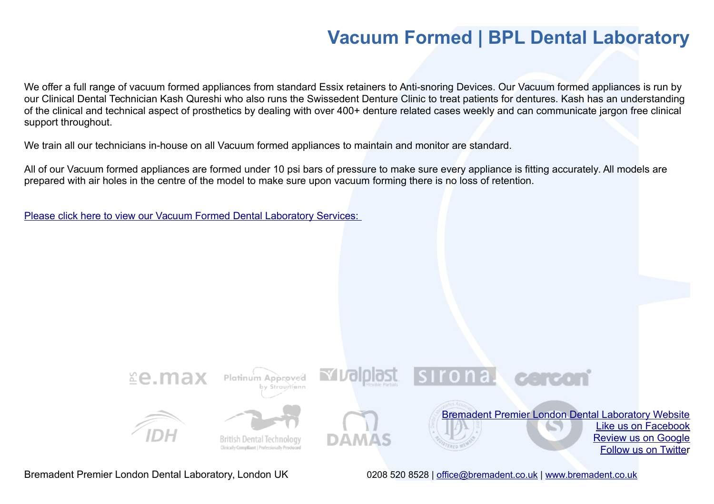### **Vacuum Formed | BPL Dental Laboratory**

We offer a full range of vacuum formed appliances from standard Essix retainers to Anti-snoring Devices. Our Vacuum formed appliances is run by our Clinical Dental Technician Kash Qureshi who also runs the Swissedent Denture Clinic to treat patients for dentures. Kash has an understanding of the clinical and technical aspect of prosthetics by dealing with over 400+ denture related cases weekly and can communicate jargon free clinical support throughout.

We train all our technicians in-house on all Vacuum formed appliances to maintain and monitor are standard.

All of our Vacuum formed appliances are formed under 10 psi bars of pressure to make sure every appliance is fitting accurately. All models are prepared with air holes in the centre of the model to make sure upon vacuum forming there is no loss of retention.

[Please click here to view our Vacuum Formed Dental Laboratory Services:](http://www.bremadent.co.uk/vacuum-formed.html)